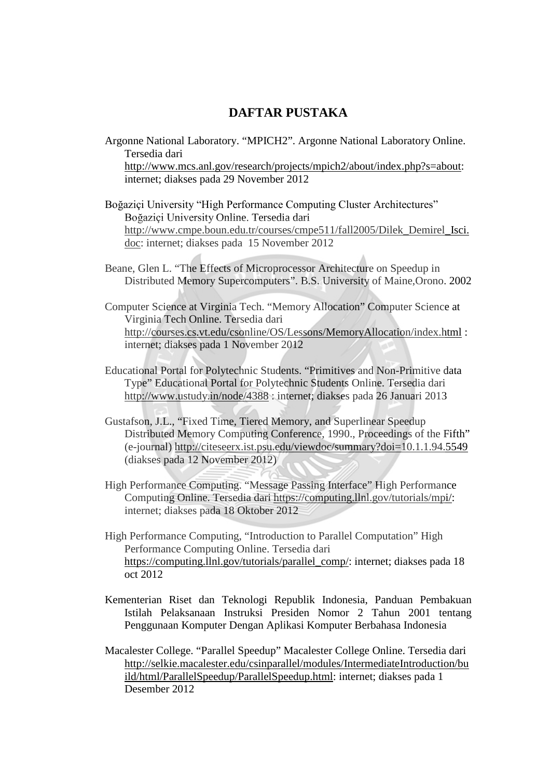## **DAFTAR PUSTAKA**

- Argonne National Laboratory. "MPICH2". Argonne National Laboratory Online. Tersedia dari http://www.mcs.anl.gov/research/projects/mpich2/about/index.php?s=about: internet; diakses pada 29 November 2012
- Boğaziçi University "High Performance Computing Cluster Architectures" Boğaziçi University Online. Tersedia dari http://www.cmpe.boun.edu.tr/courses/cmpe511/fall2005/Dilek\_Demirel\_Isci. doc: internet; diakses pada 15 November 2012
- Beane, Glen L. "The Effects of Microprocessor Architecture on Speedup in Distributed Memory Supercomputers". B.S. University of Maine,Orono. 2002
- Computer Science at Virginia Tech. "Memory Allocation" Computer Science at Virginia Tech Online. Tersedia dari http://courses.cs.vt.edu/csonline/OS/Lessons/MemoryAllocation/index.html : internet; diakses pada 1 November 2012
- Educational Portal for Polytechnic Students. "Primitives and Non-Primitive data Type" Educational Portal for Polytechnic Students Online. Tersedia dari http://www.ustudy.in/node/4388 : internet; diakses pada 26 Januari 2013
- Gustafson, J.L., "Fixed Time, Tiered Memory, and Superlinear Speedup Distributed Memory Computing Conference, 1990., Proceedings of the Fifth" (e-journal) http://citeseerx.ist.psu.edu/viewdoc/summary?doi=10.1.1.94.5549 (diakses pada 12 November 2012)
- High Performance Computing. "Message Passing Interface" High Performance Computing Online. Tersedia dari https://computing.llnl.gov/tutorials/mpi/: internet; diakses pada 18 Oktober 2012
- High Performance Computing, "Introduction to Parallel Computation" High Performance Computing Online. Tersedia dari https://computing.llnl.gov/tutorials/parallel\_comp/: internet; diakses pada 18 oct 2012
- Kementerian Riset dan Teknologi Republik Indonesia, Panduan Pembakuan Istilah Pelaksanaan Instruksi Presiden Nomor 2 Tahun 2001 tentang Penggunaan Komputer Dengan Aplikasi Komputer Berbahasa Indonesia
- Macalester College. "Parallel Speedup" Macalester College Online. Tersedia dari http://selkie.macalester.edu/csinparallel/modules/IntermediateIntroduction/bu ild/html/ParallelSpeedup/ParallelSpeedup.html: internet; diakses pada 1 Desember 2012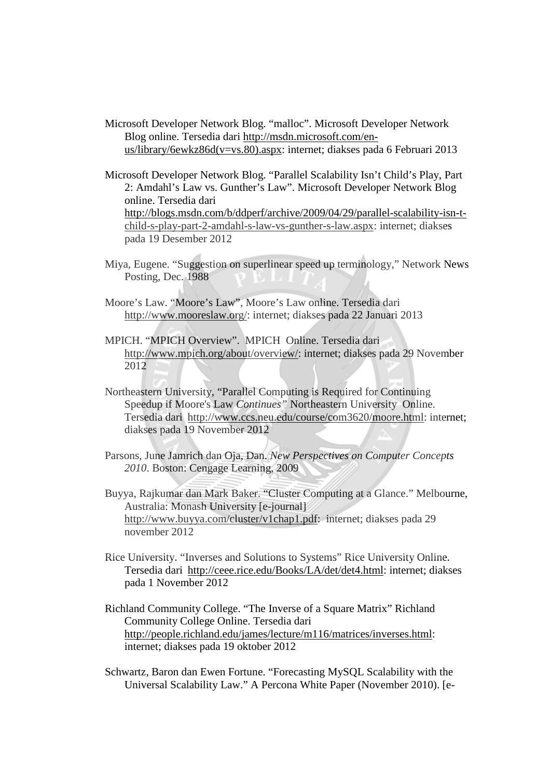Microsoft Developer Network Blog. "malloc". Microsoft Developer Network Blog online. Tersedia dari http://msdn.microsoft.com/enus/library/6ewkz86d(v=vs.80).aspx: internet; diakses pada 6 Februari 2013

Microsoft Developer Network Blog. "Parallel Scalability Isn't Child's Play, Part 2: Amdahl's Law vs. Gunther's Law". Microsoft Developer Network Blog online. Tersedia dari http://blogs.msdn.com/b/ddperf/archive/2009/04/29/parallel-scalability-isn-tchild-s-play-part-2-amdahl-s-law-vs-gunther-s-law.aspx: internet; diakses pada 19 Desember 2012

- Miya, Eugene. "Suggestion on superlinear speed up terminology," Network News Posting, Dec. 1988
- Moore's Law. "Moore's Law", Moore's Law online. Tersedia dari http://www.mooreslaw.org/: internet; diakses pada 22 Januari 2013
- MPICH. "MPICH Overview". MPICH Online. Tersedia dari http://www.mpich.org/about/overview/: internet; diakses pada 29 November 2012
- Northeastern University, "Parallel Computing is Required for Continuing Speedup if Moore's Law *Continues"* Northeastern University Online. Tersedia dari http://www.ccs.neu.edu/course/com3620/moore.html: internet; diakses pada 19 November 2012
- Parsons, June Jamrich dan Oja, Dan. *New Perspectives on Computer Concepts 2010*. Boston: Cengage Learning, 2009
- Buyya, Rajkumar dan Mark Baker. "Cluster Computing at a Glance." Melbourne, Australia: Monash University [e-journal] http://www.buyya.com/cluster/v1chap1.pdf: internet; diakses pada 29 november 2012
- Rice University. "Inverses and Solutions to Systems" Rice University Online. Tersedia dari http://ceee.rice.edu/Books/LA/det/det4.html: internet; diakses pada 1 November 2012
- Richland Community College. "The Inverse of a Square Matrix" Richland Community College Online. Tersedia dari http://people.richland.edu/james/lecture/m116/matrices/inverses.html: internet; diakses pada 19 oktober 2012
- Schwartz, Baron dan Ewen Fortune. "Forecasting MySQL Scalability with the Universal Scalability Law." A Percona White Paper (November 2010). [e-